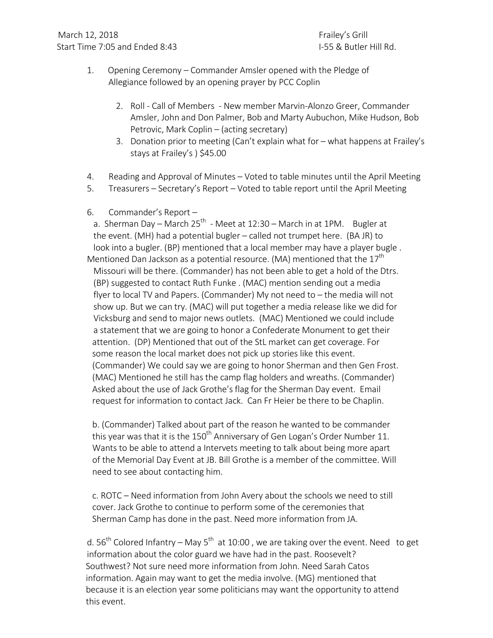- 1. Opening Ceremony Commander Amsler opened with the Pledge of Allegiance followed by an opening prayer by PCC Coplin
	- 2. Roll Call of Members New member Marvin-Alonzo Greer, Commander Amsler, John and Don Palmer, Bob and Marty Aubuchon, Mike Hudson, Bob Petrovic, Mark Coplin – (acting secretary)
	- 3. Donation prior to meeting (Can't explain what for what happens at Frailey's stays at Frailey's ) \$45.00
- 4. Reading and Approval of Minutes Voted to table minutes until the April Meeting
- 5. Treasurers Secretary's Report Voted to table report until the April Meeting
- 6. Commander's Report -

a. Sherman Day – March  $25^{th}$  - Meet at  $12:30$  – March in at 1PM. Bugler at the event. (MH) had a potential bugler  $-$  called not trumpet here. (BA JR) to look into a bugler. (BP) mentioned that a local member may have a player bugle. Mentioned Dan Jackson as a potential resource. (MA) mentioned that the  $17^{\sf th}$  Missouri will be there. (Commander) has not been able to get a hold of the Dtrs. (BP) suggested to contact Ruth Funke . (MAC) mention sending out a media flyer to local TV and Papers. (Commander) My not need to  $-$  the media will not show up. But we can try. (MAC) will put together a media release like we did for Vicksburg and send to major news outlets. (MAC) Mentioned we could include a statement that we are going to honor a Confederate Monument to get their attention. (DP) Mentioned that out of the StL market can get coverage. For some reason the local market does not pick up stories like this event. (Commander) We could say we are going to honor Sherman and then Gen Frost. (MAC) Mentioned he still has the camp flag holders and wreaths. (Commander) Asked about the use of Jack Grothe's flag for the Sherman Day event. Email request for information to contact Jack. Can Fr Heier be there to be Chaplin.

 b. (Commander) Talked about part of the reason he wanted to be commander this year was that it is the  $150<sup>th</sup>$  Anniversary of Gen Logan's Order Number 11. Wants to be able to attend a Intervets meeting to talk about being more apart of the Memorial Day Event at JB. Bill Grothe is a member of the committee. Will need to see about contacting him.

c. ROTC – Need information from John Avery about the schools we need to still cover. Jack Grothe to continue to perform some of the ceremonies that Sherman Camp has done in the past. Need more information from JA.

d.  $56<sup>th</sup>$  Colored Infantry – May  $5<sup>th</sup>$  at 10:00, we are taking over the event. Need to get information about the color guard we have had in the past. Roosevelt? Southwest? Not sure need more information from John. Need Sarah Catos information. Again may want to get the media involve. (MG) mentioned that because it is an election year some politicians may want the opportunity to attend this event.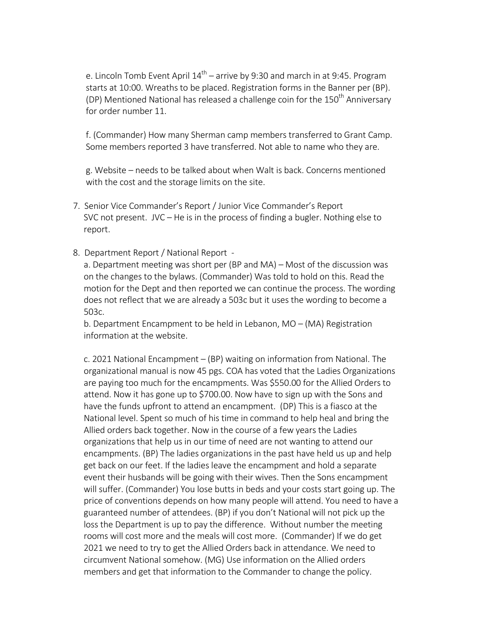e. Lincoln Tomb Event April  $14^{\text{th}}$  – arrive by 9:30 and march in at 9:45. Program starts at 10:00. Wreaths to be placed. Registration forms in the Banner per (BP). (DP) Mentioned National has released a challenge coin for the  $150<sup>th</sup>$  Anniversary for order number 11.

 f. (Commander) How many Sherman camp members transferred to Grant Camp. Some members reported 3 have transferred. Not able to name who they are.

g. Website – needs to be talked about when Walt is back. Concerns mentioned with the cost and the storage limits on the site.

- 7. Senior Vice Commander's Report / Junior Vice Commander's Report SVC not present. JVC  $-$  He is in the process of finding a bugler. Nothing else to report.
- 8. Department Report / National Report -

a. Department meeting was short per (BP and MA) – Most of the discussion was on the changes to the bylaws. (Commander) Was told to hold on this. Read the motion for the Dept and then reported we can continue the process. The wording does not reflect that we are already a 503c but it uses the wording to become a 503c.

b. Department Encampment to be held in Lebanon,  $MO - (MA)$  Registration information at the website.

c. 2021 National Encampment – (BP) waiting on information from National. The organizational manual is now 45 pgs. COA has voted that the Ladies Organizations are paying too much for the encampments. Was \$550.00 for the Allied Orders to attend. Now it has gone up to \$700.00. Now have to sign up with the Sons and have the funds upfront to attend an encampment. (DP) This is a fiasco at the National level. Spent so much of his time in command to help heal and bring the Allied orders back together. Now in the course of a few years the Ladies organizations that help us in our time of need are not wanting to attend our encampments. (BP) The ladies organizations in the past have held us up and help get back on our feet. If the ladies leave the encampment and hold a separate event their husbands will be going with their wives. Then the Sons encampment will suffer. (Commander) You lose butts in beds and your costs start going up. The price of conventions depends on how many people will attend. You need to have a guaranteed number of attendees. (BP) if you don't National will not pick up the loss the Department is up to pay the difference. Without number the meeting rooms will cost more and the meals will cost more. (Commander) If we do get 2021 we need to try to get the Allied Orders back in attendance. We need to circumvent National somehow. (MG) Use information on the Allied orders members and get that information to the Commander to change the policy.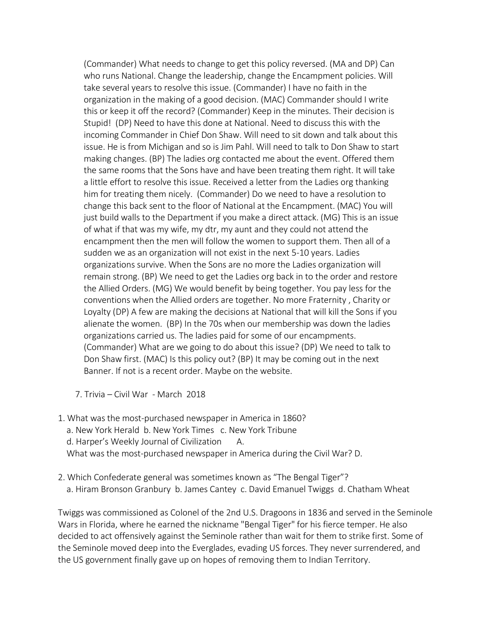(Commander) What needs to change to get this policy reversed. (MA and DP) Can who runs National. Change the leadership, change the Encampment policies. Will take several years to resolve this issue. (Commander) I have no faith in the organization in the making of a good decision. (MAC) Commander should I write this or keep it off the record? (Commander) Keep in the minutes. Their decision is Stupid! (DP) Need to have this done at National. Need to discuss this with the incoming Commander in Chief Don Shaw. Will need to sit down and talk about this issue. He is from Michigan and so is Jim Pahl. Will need to talk to Don Shaw to start making changes. (BP) The ladies org contacted me about the event. Offered them the same rooms that the Sons have and have been treating them right. It will take a little effort to resolve this issue. Received a letter from the Ladies org thanking him for treating them nicely. (Commander) Do we need to have a resolution to change this back sent to the floor of National at the Encampment. (MAC) You will just build walls to the Department if you make a direct attack. (MG) This is an issue of what if that was my wife, my dtr, my aunt and they could not attend the encampment then the men will follow the women to support them. Then all of a sudden we as an organization will not exist in the next 5-10 years. Ladies organizations survive. When the Sons are no more the Ladies organization will remain strong. (BP) We need to get the Ladies org back in to the order and restore the Allied Orders. (MG) We would benefit by being together. You pay less for the conventions when the Allied orders are together. No more Fraternity , Charity or Loyalty (DP) A few are making the decisions at National that will kill the Sons if you alienate the women. (BP) In the 70s when our membership was down the ladies organizations carried us. The ladies paid for some of our encampments. (Commander) What are we going to do about this issue? (DP) We need to talk to Don Shaw first. (MAC) Is this policy out? (BP) It may be coming out in the next Banner. If not is a recent order. Maybe on the website.

- 7. Trivia Civil War March 2018
- 1. What was the most-purchased newspaper in America in 1860? a. New York Herald b. New York Times c. New York Tribune d. Harper's Weekly Journal of Civilization A. What was the most-purchased newspaper in America during the Civil War? D.
- 2. Which Confederate general was sometimes known as "The Bengal Tiger"? a. Hiram Bronson Granbury b. James Cantey c. David Emanuel Twiggs d. Chatham Wheat

Twiggs was commissioned as Colonel of the 2nd U.S. Dragoons in 1836 and served in the Seminole Wars in Florida, where he earned the nickname "Bengal Tiger" for his fierce temper. He also decided to act offensively against the Seminole rather than wait for them to strike first. Some of the Seminole moved deep into the Everglades, evading US forces. They never surrendered, and the US government finally gave up on hopes of removing them to Indian Territory.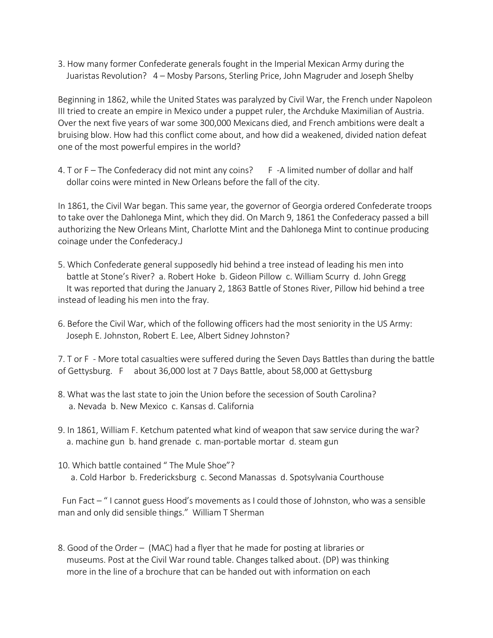3. How many former Confederate generals fought in the Imperial Mexican Army during the Juaristas Revolution? 4 – Mosby Parsons, Sterling Price, John Magruder and Joseph Shelby

Beginning in 1862, while the United States was paralyzed by Civil War, the French under Napoleon III tried to create an empire in Mexico under a puppet ruler, the Archduke Maximilian of Austria. Over the next five years of war some 300,000 Mexicans died, and French ambitions were dealt a bruising blow. How had this conflict come about, and how did a weakened, divided nation defeat one of the most powerful empires in the world?

4. T or  $F -$  The Confederacy did not mint any coins? F -A limited number of dollar and half dollar coins were minted in New Orleans before the fall of the city.

In 1861, the Civil War began. This same year, the governor of Georgia ordered Confederate troops to take over the Dahlonega Mint, which they did. On March 9, 1861 the Confederacy passed a bill authorizing the New Orleans Mint, Charlotte Mint and the Dahlonega Mint to continue producing coinage under the Confederacy.J

- 5. Which Confederate general supposedly hid behind a tree instead of leading his men into battle at Stone's River? a. Robert Hoke b. Gideon Pillow c. William Scurry d. John Gregg It was reported that during the January 2, 1863 Battle of Stones River, Pillow hid behind a tree instead of leading his men into the fray.
- 6. Before the Civil War, which of the following officers had the most seniority in the US Army: Joseph E. Johnston, Robert E. Lee, Albert Sidney Johnston?

7. T or F - More total casualties were suffered during the Seven Days Battles than during the battle of Gettysburg. F about 36,000 lost at 7 Days Battle, about 58,000 at Gettysburg

- 8. What was the last state to join the Union before the secession of South Carolina? a. Nevada b. New Mexico c. Kansas d. California
- 9. In 1861, William F. Ketchum patented what kind of weapon that saw service during the war? a. machine gun b. hand grenade c. man-portable mortar d. steam gun
- 10. Which battle contained "The Mule Shoe"? a. Cold Harbor b. Fredericksburg c. Second Manassas d. Spotsylvania Courthouse

Fun Fact - "I cannot guess Hood's movements as I could those of Johnston, who was a sensible man and only did sensible things." William T Sherman

8. Good of the Order – (MAC) had a flyer that he made for posting at libraries or museums. Post at the Civil War round table. Changes talked about. (DP) was thinking more in the line of a brochure that can be handed out with information on each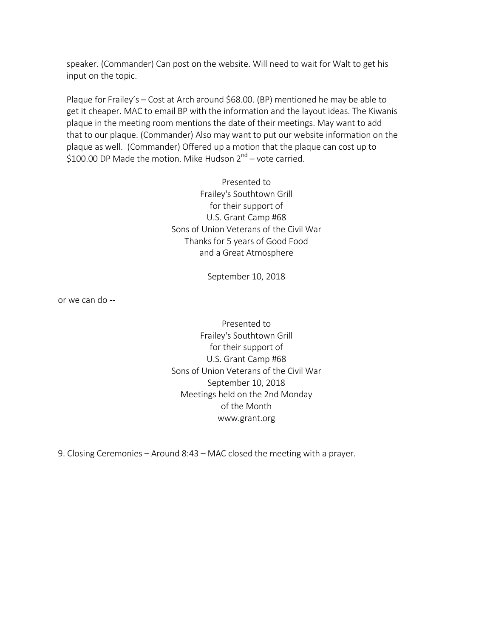speaker. (Commander) Can post on the website. Will need to wait for Walt to get his input on the topic.

Plaque for Frailey's – Cost at Arch around \$68.00. (BP) mentioned he may be able to get it cheaper. MAC to email BP with the information and the layout ideas. The Kiwanis plaque in the meeting room mentions the date of their meetings. May want to add that to our plaque. (Commander) Also may want to put our website information on the plaque as well. (Commander) Offered up a motion that the plaque can cost up to \$100.00 DP Made the motion. Mike Hudson  $2^{nd}$  – vote carried.

> Presented to Frailey's Southtown Grill for their support of U.S. Grant Camp #68 Sons of Union Veterans of the Civil War Thanks for 5 years of Good Food and a Great Atmosphere

> > September 10, 2018

or we can do --

Presented to Frailey's Southtown Grill for their support of U.S. Grant Camp #68 Sons of Union Veterans of the Civil War September 10, 2018 Meetings held on the 2nd Monday of the Month www.grant.org

9. Closing Ceremonies - Around 8:43 - MAC closed the meeting with a prayer.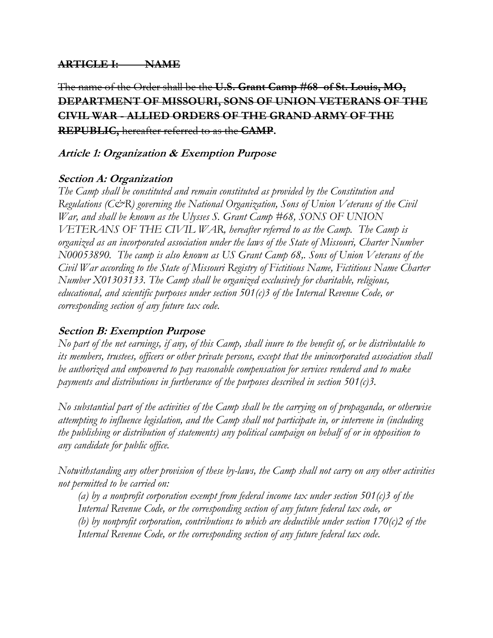## **ARTICLE I: NAME**

The name of the Order shall be the **U.S. Grant Camp #68 of St. Louis, MO, DEPARTMENT OF MISSOURI, SONS OF UNION VETERANS OF THE CIVIL WAR - ALLIED ORDERS OF THE GRAND ARMY OF THE REPUBLIC,** hereafter referred to as the **CAMP.**

## **Article 1: Organization & Exemption Purpose**

# **Section A: Organization**

*The Camp shall be constituted and remain constituted as provided by the Constitution and Regulations (C&R) governing the National Organization, Sons of Union Veterans of the Civil War, and shall be known as the Ulysses S. Grant Camp #68, SONS OF UNION VETERANS OF THE CIVIL WAR, hereafter referred to as the Camp. The Camp is organized as an incorporated association under the laws of the State of Missouri, Charter Number N00053890. The camp is also known as US Grant Camp 68,. Sons of Union Veterans of the Civil War according to the State of Missouri Registry of Fictitious Name, Fictitious Name Charter Number X01303133. The Camp shall be organized exclusively for charitable, religious, educational, and scientific purposes under section 501(c)3 of the Internal Revenue Code, or corresponding section of any future tax code.* 

## **Section B: Exemption Purpose**

*No part of the net earnings, if any, of this Camp, shall inure to the benefit of, or be distributable to its members, trustees, officers or other private persons, except that the unincorporated association shall be authorized and empowered to pay reasonable compensation for services rendered and to make payments and distributions in furtherance of the purposes described in section 501(c)3.* 

*No substantial part of the activities of the Camp shall be the carrying on of propaganda, or otherwise attempting to influence legislation, and the Camp shall not participate in, or intervene in (including the publishing or distribution of statements) any political campaign on behalf of or in opposition to any candidate for public office.* 

*Notwithstanding any other provision of these by-laws, the Camp shall not carry on any other activities not permitted to be carried on:* 

*(a) by a nonprofit corporation exempt from federal income tax under section 501(c)3 of the Internal Revenue Code, or the corresponding section of any future federal tax code, or (b) by nonprofit corporation, contributions to which are deductible under section 170(c)2 of the Internal Revenue Code, or the corresponding section of any future federal tax code.*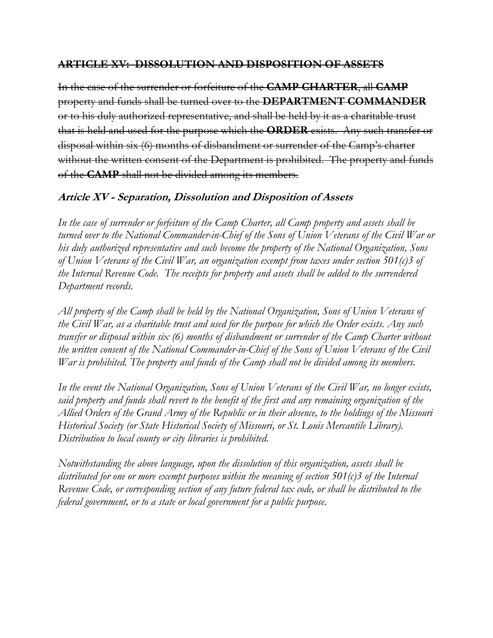#### **ARTICLE XV: DISSOLUTION AND DISPOSITION OF ASSETS**

In the case of the surrender or forfeiture of the **CAMP CHARTER**, all **CAMP** property and funds shall be turned over to the **DEPARTMENT COMMANDER** or to his duly authorized representative, and shall be held by it as a charitable trust that is held and used for the purpose which the **ORDER** exists. Any such transfer or disposal within six (6) months of disbandment or surrender of the Camp's charter without the written consent of the Department is prohibited. The property and funds of the **CAMP** shall not be divided among its members.

## **Article XV - Separation, Dissolution and Disposition of Assets**

*In the case of surrender or forfeiture of the Camp Charter, all Camp property and assets shall be turned over to the National Commander-in-Chief of the Sons of Union Veterans of the Civil War or his duly authorized representative and such become the property of the National Organization, Sons of Union Veterans of the Civil War, an organization exempt from taxes under section 501(c)3 of the Internal Revenue Code. The receipts for property and assets shall be added to the surrendered Department records.* 

*All property of the Camp shall be held by the National Organization, Sons of Union Veterans of the Civil War, as a charitable trust and used for the purpose for which the Order exists. Any such transfer or disposal within six (6) months of disbandment or surrender of the Camp Charter without the written consent of the National Commander-in-Chief of the Sons of Union Veterans of the Civil War is prohibited. The property and funds of the Camp shall not be divided among its members.* 

*In the event the National Organization, Sons of Union Veterans of the Civil War, no longer exists, said property and funds shall revert to the benefit of the first and any remaining organization of the Allied Orders of the Grand Army of the Republic or in their absence, to the holdings of the Missouri Historical Society (or State Historical Society of Missouri, or St. Louis Mercantile Library). Distribution to local county or city libraries is prohibited.* 

*Notwithstanding the above language, upon the dissolution of this organization, assets shall be distributed for one or more exempt purposes within the meaning of section 501(c)3 of the Internal Revenue Code, or corresponding section of any future federal tax code, or shall be distributed to the federal government, or to a state or local government for a public purpose.*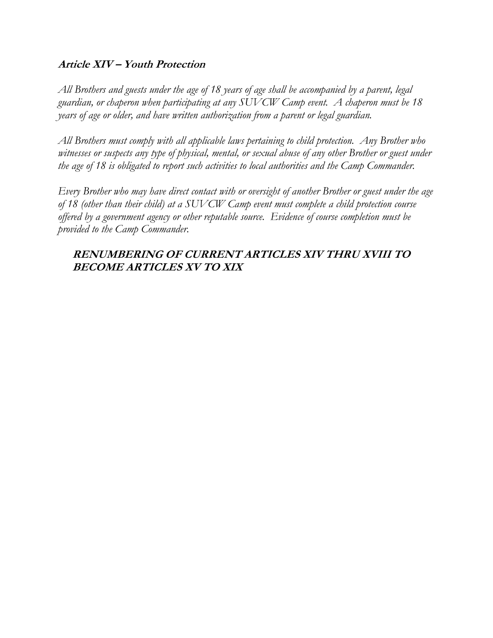#### **Article XIV – Youth Protection**

*All Brothers and guests under the age of 18 years of age shall be accompanied by a parent, legal guardian, or chaperon when participating at any SUVCW Camp event. A chaperon must be 18 years of age or older, and have written authorization from a parent or legal guardian.* 

*All Brothers must comply with all applicable laws pertaining to child protection. Any Brother who witnesses or suspects any type of physical, mental, or sexual abuse of any other Brother or guest under the age of 18 is obligated to report such activities to local authorities and the Camp Commander.* 

*Every Brother who may have direct contact with or oversight of another Brother or guest under the age of 18 (other than their child) at a SUVCW Camp event must complete a child protection course offered by a government agency or other reputable source. Evidence of course completion must be provided to the Camp Commander.* 

## **RENUMBERING OF CURRENT ARTICLES XIV THRU XVIII TO BECOME ARTICLES XV TO XIX**